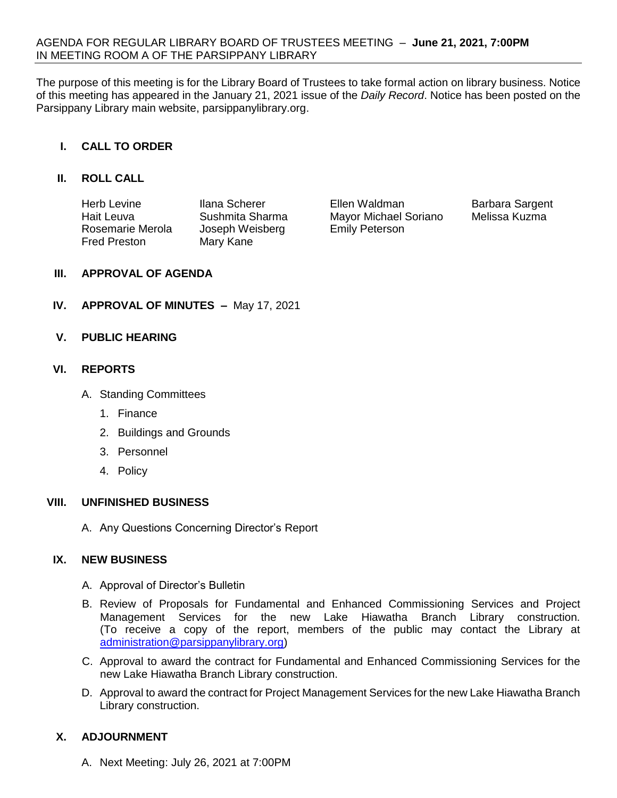The purpose of this meeting is for the Library Board of Trustees to take formal action on library business. Notice of this meeting has appeared in the January 21, 2021 issue of the *Daily Record*. Notice has been posted on the Parsippany Library main website, parsippanylibrary.org.

# **I. CALL TO ORDER**

### **II. ROLL CALL**

| Herb Levine         | Ilana Scherer   | Ellen Waldman         | <b>Barbara Sargent</b> |
|---------------------|-----------------|-----------------------|------------------------|
| Hait Leuva          | Sushmita Sharma | Mayor Michael Soriano | Melissa Kuzma          |
| Rosemarie Merola    | Joseph Weisberg | <b>Emily Peterson</b> |                        |
| <b>Fred Preston</b> | Mary Kane       |                       |                        |

### **III. APPROVAL OF AGENDA**

**IV. APPROVAL OF MINUTES –** May 17, 2021

### **V. PUBLIC HEARING**

### **VI. REPORTS**

- A. Standing Committees
	- 1. Finance
	- 2. Buildings and Grounds
	- 3. Personnel
	- 4. Policy

#### **VIII. UNFINISHED BUSINESS**

A. Any Questions Concerning Director's Report

### **IX. NEW BUSINESS**

- A. Approval of Director's Bulletin
- B. Review of Proposals for Fundamental and Enhanced Commissioning Services and Project Management Services for the new Lake Hiawatha Branch Library construction. (To receive a copy of the report, members of the public may contact the Library at [administration@parsippanylibrary.org\)](mailto:administration@parsippanylibrary.org)
- C. Approval to award the contract for Fundamental and Enhanced Commissioning Services for the new Lake Hiawatha Branch Library construction.
- D. Approval to award the contract for Project Management Services for the new Lake Hiawatha Branch Library construction.

### **X. ADJOURNMENT**

A. Next Meeting: July 26, 2021 at 7:00PM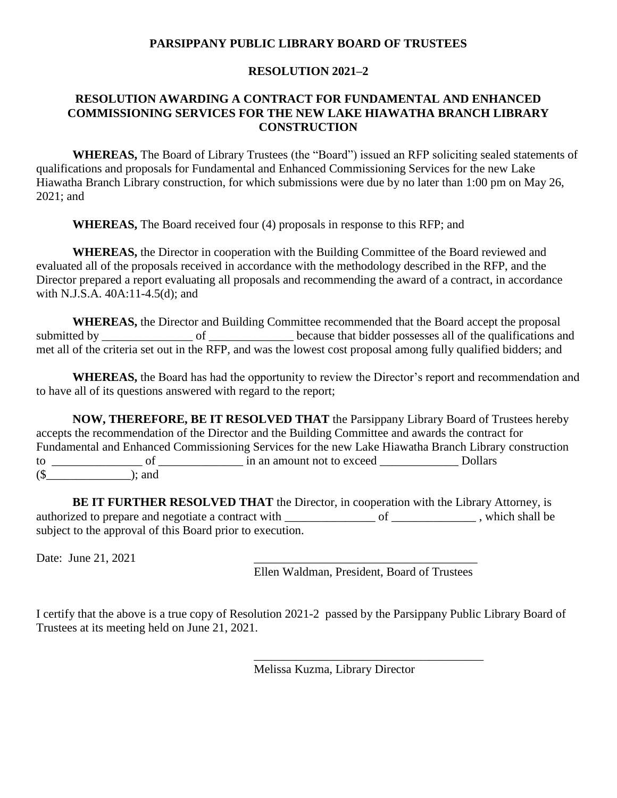## **PARSIPPANY PUBLIC LIBRARY BOARD OF TRUSTEES**

## **RESOLUTION 2021–2**

## **RESOLUTION AWARDING A CONTRACT FOR FUNDAMENTAL AND ENHANCED COMMISSIONING SERVICES FOR THE NEW LAKE HIAWATHA BRANCH LIBRARY CONSTRUCTION**

**WHEREAS,** The Board of Library Trustees (the "Board") issued an RFP soliciting sealed statements of qualifications and proposals for Fundamental and Enhanced Commissioning Services for the new Lake Hiawatha Branch Library construction, for which submissions were due by no later than 1:00 pm on May 26, 2021; and

**WHEREAS,** The Board received four (4) proposals in response to this RFP; and

**WHEREAS,** the Director in cooperation with the Building Committee of the Board reviewed and evaluated all of the proposals received in accordance with the methodology described in the RFP, and the Director prepared a report evaluating all proposals and recommending the award of a contract, in accordance with N.J.S.A. 40A:11-4.5(d); and

**WHEREAS,** the Director and Building Committee recommended that the Board accept the proposal submitted by \_\_\_\_\_\_\_\_\_\_\_\_\_\_\_\_\_ of \_\_\_\_\_\_\_\_\_\_\_\_\_\_ because that bidder possesses all of the qualifications and met all of the criteria set out in the RFP, and was the lowest cost proposal among fully qualified bidders; and

**WHEREAS,** the Board has had the opportunity to review the Director's report and recommendation and to have all of its questions answered with regard to the report;

**NOW, THEREFORE, BE IT RESOLVED THAT** the Parsippany Library Board of Trustees hereby accepts the recommendation of the Director and the Building Committee and awards the contract for Fundamental and Enhanced Commissioning Services for the new Lake Hiawatha Branch Library construction to of  $\Box$  of  $\Box$  in an amount not to exceed  $\Box$  Dollars  $(\text{\$} \qquad \qquad )$ ; and

**BE IT FURTHER RESOLVED THAT** the Director, in cooperation with the Library Attorney, is authorized to prepare and negotiate a contract with \_\_\_\_\_\_\_\_\_\_\_\_\_\_\_ of \_\_\_\_\_\_\_\_\_\_\_\_\_, which shall be subject to the approval of this Board prior to execution.

Date: June 21, 2021

Ellen Waldman, President, Board of Trustees

\_\_\_\_\_\_\_\_\_\_\_\_\_\_\_\_\_\_\_\_\_\_\_\_\_\_\_\_\_\_\_\_\_\_\_\_\_\_

I certify that the above is a true copy of Resolution 2021-2 passed by the Parsippany Public Library Board of Trustees at its meeting held on June 21, 2021.

Melissa Kuzma, Library Director